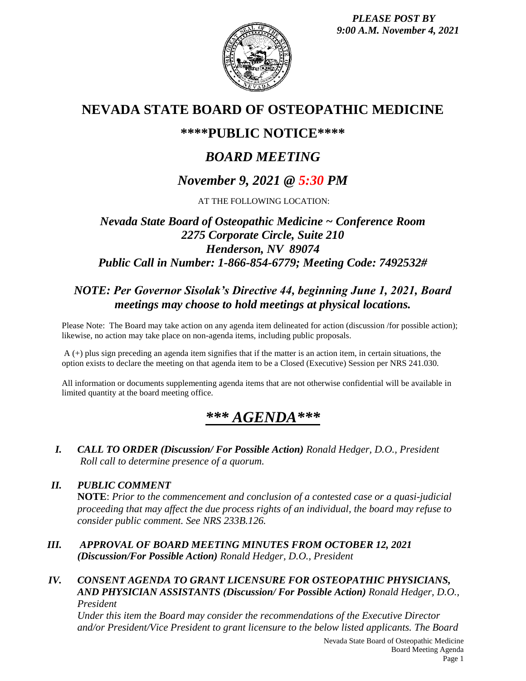

# **NEVADA STATE BOARD OF OSTEOPATHIC MEDICINE**

## **\*\*\*\*PUBLIC NOTICE\*\*\*\***

# *BOARD MEETING*

# *November 9, 2021 @ 5:30 PM*

AT THE FOLLOWING LOCATION:

## *Nevada State Board of Osteopathic Medicine ~ Conference Room 2275 Corporate Circle, Suite 210 Henderson, NV 89074 Public Call in Number: 1-866-854-6779; Meeting Code: 7492532#*

## *NOTE: Per Governor Sisolak's Directive 44, beginning June 1, 2021, Board meetings may choose to hold meetings at physical locations.*

Please Note: The Board may take action on any agenda item delineated for action (discussion /for possible action); likewise, no action may take place on non-agenda items, including public proposals.

A (+) plus sign preceding an agenda item signifies that if the matter is an action item, in certain situations, the option exists to declare the meeting on that agenda item to be a Closed (Executive) Session per NRS 241.030.

All information or documents supplementing agenda items that are not otherwise confidential will be available in limited quantity at the board meeting office.

# *\*\*\* AGENDA\*\*\**

*I. CALL TO ORDER (Discussion/ For Possible Action) Ronald Hedger, D.O., President Roll call to determine presence of a quorum.*

## *II. PUBLIC COMMENT*

**NOTE**: *Prior to the commencement and conclusion of a contested case or a quasi-judicial proceeding that may affect the due process rights of an individual, the board may refuse to consider public comment. See NRS 233B.126.*

*III. APPROVAL OF BOARD MEETING MINUTES FROM OCTOBER 12, 2021 (Discussion/For Possible Action) Ronald Hedger, D.O., President*

### *IV. CONSENT AGENDA TO GRANT LICENSURE FOR OSTEOPATHIC PHYSICIANS, AND PHYSICIAN ASSISTANTS (Discussion/ For Possible Action) Ronald Hedger, D.O., President*

*Under this item the Board may consider the recommendations of the Executive Director and/or President/Vice President to grant licensure to the below listed applicants. The Board*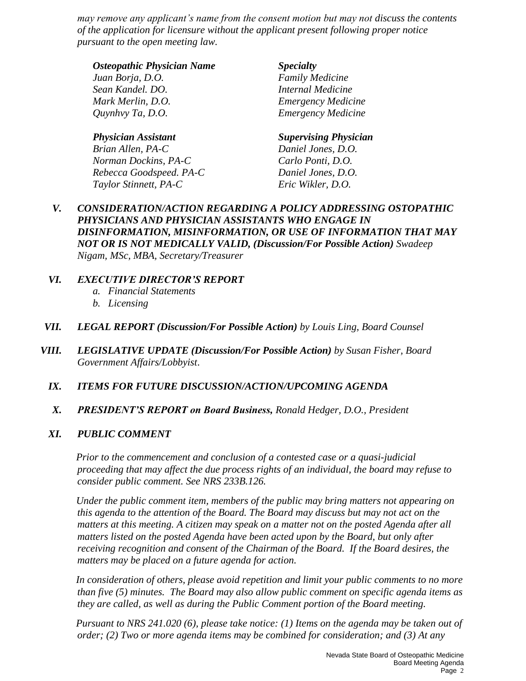*may remove any applicant's name from the consent motion but may not discuss the contents of the application for licensure without the applicant present following proper notice pursuant to the open meeting law.*

#### *Osteopathic Physician Name Specialty*

*Juan Borja, D.O. Family Medicine Sean Kandel. DO. Internal Medicine Mark Merlin, D.O. Emergency Medicine Quynhvy Ta, D.O. Emergency Medicine* 

*Brian Allen, PA-C Daniel Jones, D.O. Norman Dockins, PA-C Carlo Ponti, D.O. Rebecca Goodspeed. PA-C Daniel Jones, D.O. Taylor Stinnett, PA-C Eric Wikler, D.O.* 

#### *Physician Assistant Supervising Physician*

*V. CONSIDERATION/ACTION REGARDING A POLICY ADDRESSING OSTOPATHIC PHYSICIANS AND PHYSICIAN ASSISTANTS WHO ENGAGE IN DISINFORMATION, MISINFORMATION, OR USE OF INFORMATION THAT MAY NOT OR IS NOT MEDICALLY VALID, (Discussion/For Possible Action) Swadeep Nigam, MSc, MBA, Secretary/Treasurer*

### *VI. EXECUTIVE DIRECTOR'S REPORT*

- *a. Financial Statements*
- *b. Licensing*
- *VII. LEGAL REPORT (Discussion/For Possible Action) by Louis Ling, Board Counsel*
- *VIII. LEGISLATIVE UPDATE (Discussion/For Possible Action) by Susan Fisher, Board Government Affairs/Lobbyist*.
	- *IX. ITEMS FOR FUTURE DISCUSSION/ACTION/UPCOMING AGENDA*
	- *X. PRESIDENT'S REPORT on Board Business, Ronald Hedger, D.O., President*

### *XI. PUBLIC COMMENT*

*Prior to the commencement and conclusion of a contested case or a quasi-judicial proceeding that may affect the due process rights of an individual, the board may refuse to consider public comment. See NRS 233B.126.*

*Under the public comment item, members of the public may bring matters not appearing on this agenda to the attention of the Board. The Board may discuss but may not act on the matters at this meeting. A citizen may speak on a matter not on the posted Agenda after all matters listed on the posted Agenda have been acted upon by the Board, but only after receiving recognition and consent of the Chairman of the Board. If the Board desires, the matters may be placed on a future agenda for action.*

*In consideration of others, please avoid repetition and limit your public comments to no more than five (5) minutes. The Board may also allow public comment on specific agenda items as they are called, as well as during the Public Comment portion of the Board meeting.* 

*Pursuant to NRS 241.020 (6), please take notice: (1) Items on the agenda may be taken out of order; (2) Two or more agenda items may be combined for consideration; and (3) At any*